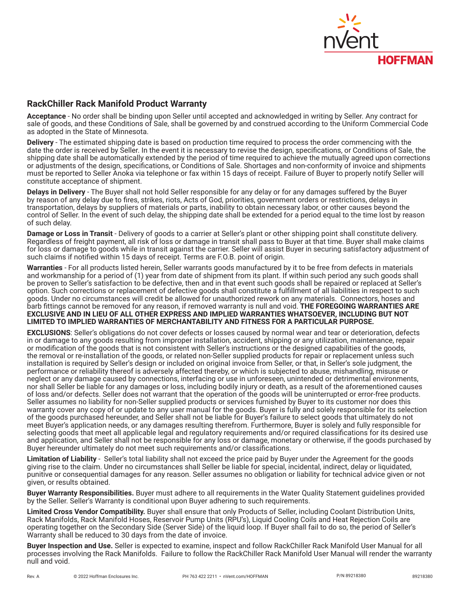

## **RackChiller Rack Manifold Product Warranty**

**Acceptance** - No order shall be binding upon Seller until accepted and acknowledged in writing by Seller. Any contract for sale of goods, and these Conditions of Sale, shall be governed by and construed according to the Uniform Commercial Code as adopted in the State of Minnesota.

**Delivery** - The estimated shipping date is based on production time required to process the order commencing with the date the order is received by Seller. In the event it is necessary to revise the design, specifications, or Conditions of Sale, the shipping date shall be automatically extended by the period of time required to achieve the mutually agreed upon corrections or adjustments of the design, specifications, or Conditions of Sale. Shortages and non-conformity of invoice and shipments must be reported to Seller Anoka via telephone or fax within 15 days of receipt. Failure of Buyer to properly notify Seller will constitute acceptance of shipment.

**Delays in Delivery** - The Buyer shall not hold Seller responsible for any delay or for any damages suffered by the Buyer by reason of any delay due to fires, strikes, riots, Acts of God, priorities, government orders or restrictions, delays in transportation, delays by suppliers of materials or parts, inability to obtain necessary labor, or other causes beyond the control of Seller. In the event of such delay, the shipping date shall be extended for a period equal to the time lost by reason of such delay.

**Damage or Loss in Transit** - Delivery of goods to a carrier at Seller's plant or other shipping point shall constitute delivery. Regardless of freight payment, all risk of loss or damage in transit shall pass to Buyer at that time. Buyer shall make claims for loss or damage to goods while in transit against the carrier. Seller will assist Buyer in securing satisfactory adjustment of such claims if notified within 15 days of receipt. Terms are F.O.B. point of origin.

**Warranties** - For all products listed herein, Seller warrants goods manufactured by it to be free from defects in materials and workmanship for a period of (1) year from date of shipment from its plant. If within such period any such goods shall be proven to Seller's satisfaction to be defective, then and in that event such goods shall be repaired or replaced at Seller's option. Such corrections or replacement of defective goods shall constitute a fulfillment of all liabilities in respect to such goods. Under no circumstances will credit be allowed for unauthorized rework on any materials. Connectors, hoses and barb fittings cannot be removed for any reason, if removed warranty is null and void. **THE FOREGOING WARRANTIES ARE EXCLUSIVE AND IN LIEU OF ALL OTHER EXPRESS AND IMPLIED WARRANTIES WHATSOEVER, INCLUDING BUT NOT LIMITED TO IMPLIED WARRANTIES OF MERCHANTABILITY AND FITNESS FOR A PARTICULAR PURPOSE.**

**EXCLUSIONS**: Seller's obligations do not cover defects or losses caused by normal wear and tear or deterioration, defects in or damage to any goods resulting from improper installation, accident, shipping or any utilization, maintenance, repair or modification of the goods that is not consistent with Seller's instructions or the designed capabilities of the goods, the removal or re-installation of the goods, or related non-Seller supplied products for repair or replacement unless such installation is required by Seller's design or included on original invoice from Seller, or that, in Seller's sole judgment, the performance or reliability thereof is adversely affected thereby, or which is subjected to abuse, mishandling, misuse or neglect or any damage caused by connections, interfacing or use in unforeseen, unintended or detrimental environments, nor shall Seller be liable for any damages or loss, including bodily injury or death, as a result of the aforementioned causes of loss and/or defects. Seller does not warrant that the operation of the goods will be uninterrupted or error-free products. Seller assumes no liability for non-Seller supplied products or services furnished by Buyer to its customer nor does this warranty cover any copy of or update to any user manual for the goods. Buyer is fully and solely responsible for its selection of the goods purchased hereunder, and Seller shall not be liable for Buyer's failure to select goods that ultimately do not meet Buyer's application needs, or any damages resulting therefrom. Furthermore, Buyer is solely and fully responsible for selecting goods that meet all applicable legal and regulatory requirements and/or required classifications for its desired use and application, and Seller shall not be responsible for any loss or damage, monetary or otherwise, if the goods purchased by Buyer hereunder ultimately do not meet such requirements and/or classifications.

**Limitation of Liability** - Seller's total liability shall not exceed the price paid by Buyer under the Agreement for the goods giving rise to the claim. Under no circumstances shall Seller be liable for special, incidental, indirect, delay or liquidated, punitive or consequential damages for any reason. Seller assumes no obligation or liability for technical advice given or not given, or results obtained.

**Buyer Warranty Responsibilities.** Buyer must adhere to all requirements in the Water Quality Statement guidelines provided by the Seller. Seller's Warranty is conditional upon Buyer adhering to such requirements.

**Limited Cross Vendor Compatibility.** Buyer shall ensure that only Products of Seller, including Coolant Distribution Units, Rack Manifolds, Rack Manifold Hoses, Reservoir Pump Units (RPU's), Liquid Cooling Coils and Heat Rejection Coils are operating together on the Secondary Side (Server Side) of the liquid loop. If Buyer shall fail to do so, the period of Seller's Warranty shall be reduced to 30 days from the date of invoice.

**Buyer Inspection and Use.** Seller is expected to examine, inspect and follow RackChiller Rack Manifold User Manual for all processes involving the Rack Manifolds. Failure to follow the RackChiller Rack Manifold User Manual will render the warranty null and void.